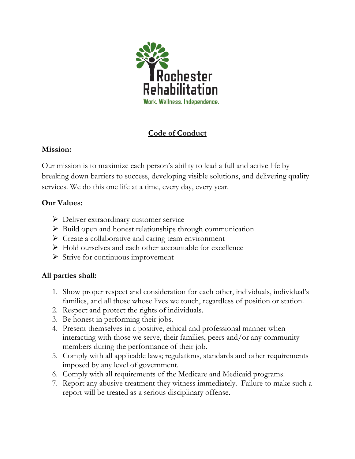

# Code of Conduct

#### Mission:

Our mission is to maximize each person's ability to lead a full and active life by breaking down barriers to success, developing visible solutions, and delivering quality services. We do this one life at a time, every day, every year.

## Our Values:

- ▶ Deliver extraordinary customer service
- $\triangleright$  Build open and honest relationships through communication
- $\triangleright$  Create a collaborative and caring team environment
- $\triangleright$  Hold ourselves and each other accountable for excellence
- $\triangleright$  Strive for continuous improvement

## All parties shall:

- 1. Show proper respect and consideration for each other, individuals, individual's families, and all those whose lives we touch, regardless of position or station.
- 2. Respect and protect the rights of individuals.
- 3. Be honest in performing their jobs.
- 4. Present themselves in a positive, ethical and professional manner when interacting with those we serve, their families, peers and/or any community members during the performance of their job.
- 5. Comply with all applicable laws; regulations, standards and other requirements imposed by any level of government.
- 6. Comply with all requirements of the Medicare and Medicaid programs.
- 7. Report any abusive treatment they witness immediately. Failure to make such a report will be treated as a serious disciplinary offense.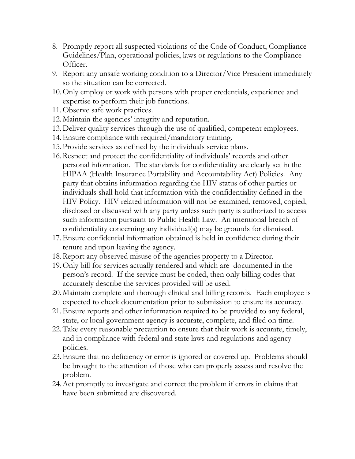- 8. Promptly report all suspected violations of the Code of Conduct, Compliance Guidelines/Plan, operational policies, laws or regulations to the Compliance Officer.
- 9. Report any unsafe working condition to a Director/Vice President immediately so the situation can be corrected.
- 10.Only employ or work with persons with proper credentials, experience and expertise to perform their job functions.
- 11.Observe safe work practices.
- 12.Maintain the agencies' integrity and reputation.
- 13.Deliver quality services through the use of qualified, competent employees.
- 14.Ensure compliance with required/mandatory training.
- 15.Provide services as defined by the individuals service plans.
- 16.Respect and protect the confidentiality of individuals' records and other personal information. The standards for confidentiality are clearly set in the HIPAA (Health Insurance Portability and Accountability Act) Policies. Any party that obtains information regarding the HIV status of other parties or individuals shall hold that information with the confidentiality defined in the HIV Policy. HIV related information will not be examined, removed, copied, disclosed or discussed with any party unless such party is authorized to access such information pursuant to Public Health Law. An intentional breach of confidentiality concerning any individual(s) may be grounds for dismissal.
- 17.Ensure confidential information obtained is held in confidence during their tenure and upon leaving the agency.
- 18.Report any observed misuse of the agencies property to a Director.
- 19.Only bill for services actually rendered and which are documented in the person's record. If the service must be coded, then only billing codes that accurately describe the services provided will be used.
- 20.Maintain complete and thorough clinical and billing records. Each employee is expected to check documentation prior to submission to ensure its accuracy.
- 21.Ensure reports and other information required to be provided to any federal, state, or local government agency is accurate, complete, and filed on time.
- 22.Take every reasonable precaution to ensure that their work is accurate, timely, and in compliance with federal and state laws and regulations and agency policies.
- 23.Ensure that no deficiency or error is ignored or covered up. Problems should be brought to the attention of those who can properly assess and resolve the problem.
- 24.Act promptly to investigate and correct the problem if errors in claims that have been submitted are discovered.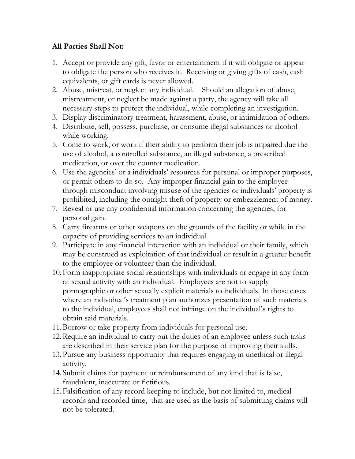#### All Parties Shall Not:

- 1. Accept or provide any gift, favor or entertainment if it will obligate or appear to obligate the person who receives it. Receiving or giving gifts of cash, cash equivalents, or gift cards is never allowed.
- 2. Abuse, mistreat, or neglect any individual. Should an allegation of abuse, mistreatment, or neglect be made against a party, the agency will take all necessary steps to protect the individual, while completing an investigation.
- 3. Display discriminatory treatment, harassment, abuse, or intimidation of others.
- 4. Distribute, sell, possess, purchase, or consume illegal substances or alcohol while working.
- 5. Come to work, or work if their ability to perform their job is impaired due the use of alcohol, a controlled substance, an illegal substance, a prescribed medication, or over the counter medication.
- 6. Use the agencies' or a individuals' resources for personal or improper purposes, or permit others to do so. Any improper financial gain to the employee through misconduct involving misuse of the agencies or individuals' property is prohibited, including the outright theft of property or embezzlement of money.
- 7. Reveal or use any confidential information concerning the agencies, for personal gain.
- 8. Carry firearms or other weapons on the grounds of the facility or while in the capacity of providing services to an individual.
- 9. Participate in any financial interaction with an individual or their family, which may be construed as exploitation of that individual or result in a greater benefit to the employee or volunteer than the individual.
- 10.Form inappropriate social relationships with individuals or engage in any form of sexual activity with an individual. Employees are not to supply pornographic or other sexually explicit materials to individuals. In those cases where an individual's treatment plan authorizes presentation of such materials to the individual, employees shall not infringe on the individual's rights to obtain said materials.
- 11.Borrow or take property from individuals for personal use.
- 12.Require an individual to carry out the duties of an employee unless such tasks are described in their service plan for the purpose of improving their skills.
- 13.Pursue any business opportunity that requires engaging in unethical or illegal activity.
- 14. Submit claims for payment or reimbursement of any kind that is false, fraudulent, inaccurate or fictitious.
- 15.Falsification of any record keeping to include, but not limited to, medical records and recorded time, that are used as the basis of submitting claims will not be tolerated.